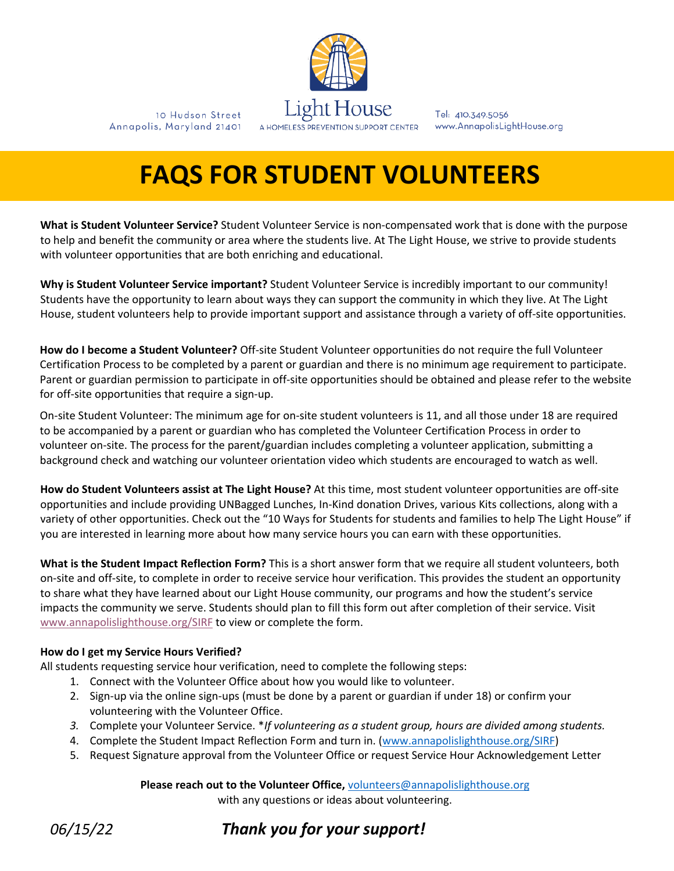

10 Hudson Street

Annapolis, Maryland 21401

Tel: 410.349.5056 www.AnnapolisLightHouse.org

# **FAQS FOR STUDENT VOLUNTEERS**

**What is Student Volunteer Service?** Student Volunteer Service is non-compensated work that is done with the purpose to help and benefit the community or area where the students live. At The Light House, we strive to provide students with volunteer opportunities that are both enriching and educational.

**Why is Student Volunteer Service important?** Student Volunteer Service is incredibly important to our community! Students have the opportunity to learn about ways they can support the community in which they live. At The Light House, student volunteers help to provide important support and assistance through a variety of off-site opportunities.

**How do I become a Student Volunteer?** Off-site Student Volunteer opportunities do not require the full Volunteer Certification Process to be completed by a parent or guardian and there is no minimum age requirement to participate. Parent or guardian permission to participate in off-site opportunities should be obtained and please refer to the website for off-site opportunities that require a sign-up.

On-site Student Volunteer: The minimum age for on-site student volunteers is 11, and all those under 18 are required to be accompanied by a parent or guardian who has completed the Volunteer Certification Process in order to volunteer on-site. The process for the parent/guardian includes completing a volunteer application, submitting a background check and watching our volunteer orientation video which students are encouraged to watch as well.

**How do Student Volunteers assist at The Light House?** At this time, most student volunteer opportunities are off-site opportunities and include providing UNBagged Lunches, In-Kind donation Drives, various Kits collections, along with a variety of other opportunities. Check out the "10 Ways for Students for students and families to help The Light House" if you are interested in learning more about how many service hours you can earn with these opportunities.

**What is the Student Impact Reflection Form?** This is a short answer form that we require all student volunteers, both on-site and off-site, to complete in order to receive service hour verification. This provides the student an opportunity to share what they have learned about our Light House community, our programs and how the student's service impacts the community we serve. Students should plan to fill this form out after completion of their service. Visit www.annapolislighthouse.org/SIRF to view or complete the form.

#### **How do I get my Service Hours Verified?**

All students requesting service hour verification, need to complete the following steps:

- 1. Connect with the Volunteer Office about how you would like to volunteer.
- 2. Sign-up via the online sign-ups (must be done by a parent or guardian if under 18) or confirm your volunteering with the Volunteer Office.
- *3.* Complete your Volunteer Service. \**If volunteering as a student group, hours are divided among students.*
- 4. Complete the Student Impact Reflection Form and turn in. (www.annapolislighthouse.org/SIRF)
- 5. Request Signature approval from the Volunteer Office or request Service Hour Acknowledgement Letter

#### **Please reach out to the Volunteer Office,** volunteers@annapolislighthouse.org

with any questions or ideas about volunteering.

*06/15/22 Thank you for your support!*